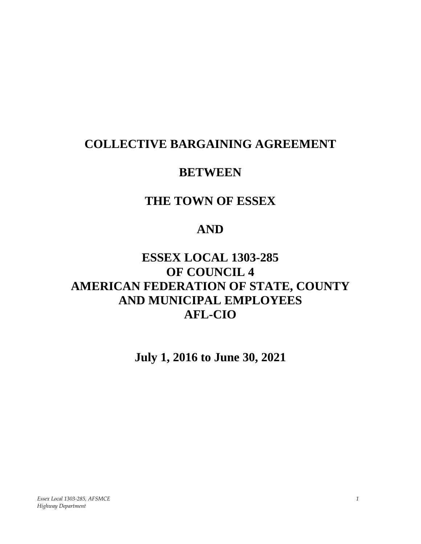# **COLLECTIVE BARGAINING AGREEMENT**

# **BETWEEN**

# **THE TOWN OF ESSEX**

# **AND**

# **ESSEX LOCAL 1303-285 OF COUNCIL 4 AMERICAN FEDERATION OF STATE, COUNTY AND MUNICIPAL EMPLOYEES AFL-CIO**

**July 1, 2016 to June 30, 2021**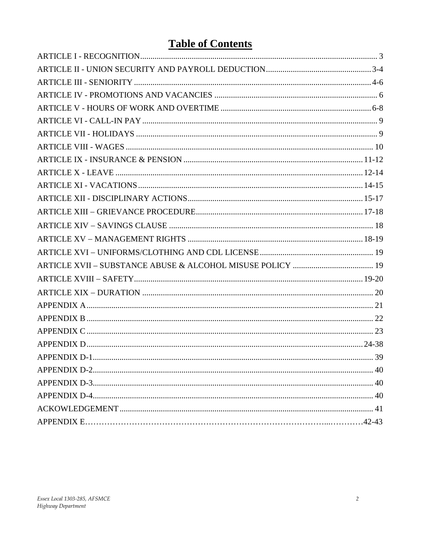# **Table of Contents**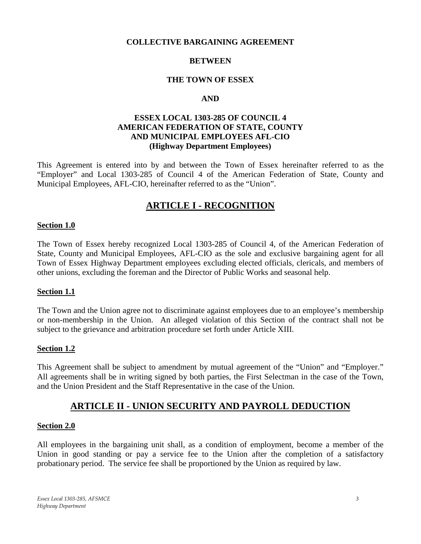#### **COLLECTIVE BARGAINING AGREEMENT**

### **BETWEEN**

### **THE TOWN OF ESSEX**

### **AND**

### **ESSEX LOCAL 1303-285 OF COUNCIL 4 AMERICAN FEDERATION OF STATE, COUNTY AND MUNICIPAL EMPLOYEES AFL-CIO (Highway Department Employees)**

<span id="page-2-0"></span>This Agreement is entered into by and between the Town of Essex hereinafter referred to as the "Employer" and Local 1303-285 of Council 4 of the American Federation of State, County and Municipal Employees, AFL-CIO, hereinafter referred to as the "Union".

# **ARTICLE I - RECOGNITION**

#### **Section 1.0**

The Town of Essex hereby recognized Local 1303-285 of Council 4, of the American Federation of State, County and Municipal Employees, AFL-CIO as the sole and exclusive bargaining agent for all Town of Essex Highway Department employees excluding elected officials, clericals, and members of other unions, excluding the foreman and the Director of Public Works and seasonal help.

### **Section 1.1**

The Town and the Union agree not to discriminate against employees due to an employee's membership or non-membership in the Union. An alleged violation of this Section of the contract shall not be subject to the grievance and arbitration procedure set forth under Article XIII.

#### **Section 1.2**

This Agreement shall be subject to amendment by mutual agreement of the "Union" and "Employer." All agreements shall be in writing signed by both parties, the First Selectman in the case of the Town, and the Union President and the Staff Representative in the case of the Union.

# **ARTICLE II - UNION SECURITY AND PAYROLL DEDUCTION**

#### <span id="page-2-1"></span>**Section 2.0**

All employees in the bargaining unit shall, as a condition of employment, become a member of the Union in good standing or pay a service fee to the Union after the completion of a satisfactory probationary period. The service fee shall be proportioned by the Union as required by law.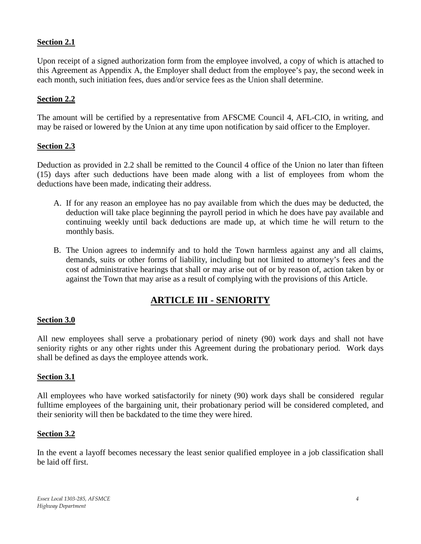# **Section 2.1**

Upon receipt of a signed authorization form from the employee involved, a copy of which is attached to this Agreement as Appendix A, the Employer shall deduct from the employee's pay, the second week in each month, such initiation fees, dues and/or service fees as the Union shall determine.

# **Section 2.2**

The amount will be certified by a representative from AFSCME Council 4, AFL-CIO, in writing, and may be raised or lowered by the Union at any time upon notification by said officer to the Employer.

# **Section 2.3**

Deduction as provided in 2.2 shall be remitted to the Council 4 office of the Union no later than fifteen (15) days after such deductions have been made along with a list of employees from whom the deductions have been made, indicating their address.

- A. If for any reason an employee has no pay available from which the dues may be deducted, the deduction will take place beginning the payroll period in which he does have pay available and continuing weekly until back deductions are made up, at which time he will return to the monthly basis.
- B. The Union agrees to indemnify and to hold the Town harmless against any and all claims, demands, suits or other forms of liability, including but not limited to attorney's fees and the cost of administrative hearings that shall or may arise out of or by reason of, action taken by or against the Town that may arise as a result of complying with the provisions of this Article.

# **ARTICLE III - SENIORITY**

# <span id="page-3-0"></span>**Section 3.0**

All new employees shall serve a probationary period of ninety (90) work days and shall not have seniority rights or any other rights under this Agreement during the probationary period. Work days shall be defined as days the employee attends work.

### **Section 3.1**

All employees who have worked satisfactorily for ninety (90) work days shall be considered regular fulltime employees of the bargaining unit, their probationary period will be considered completed, and their seniority will then be backdated to the time they were hired.

### **Section 3.2**

In the event a layoff becomes necessary the least senior qualified employee in a job classification shall be laid off first.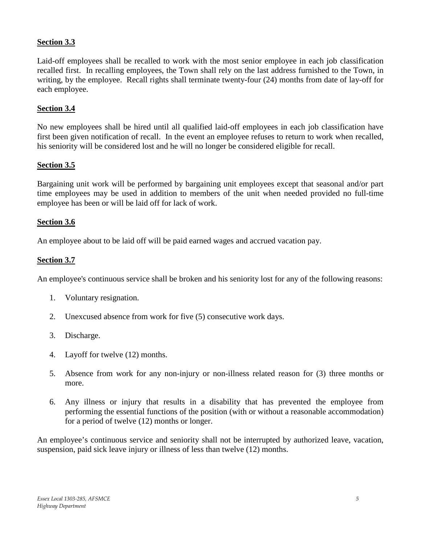# **Section 3.3**

Laid-off employees shall be recalled to work with the most senior employee in each job classification recalled first. In recalling employees, the Town shall rely on the last address furnished to the Town, in writing, by the employee. Recall rights shall terminate twenty-four (24) months from date of lay-off for each employee.

# **Section 3.4**

No new employees shall be hired until all qualified laid-off employees in each job classification have first been given notification of recall. In the event an employee refuses to return to work when recalled, his seniority will be considered lost and he will no longer be considered eligible for recall.

# **Section 3.5**

Bargaining unit work will be performed by bargaining unit employees except that seasonal and/or part time employees may be used in addition to members of the unit when needed provided no full-time employee has been or will be laid off for lack of work.

# **Section 3.6**

An employee about to be laid off will be paid earned wages and accrued vacation pay.

# **Section 3.7**

An employee's continuous service shall be broken and his seniority lost for any of the following reasons:

- 1. Voluntary resignation.
- 2. Unexcused absence from work for five (5) consecutive work days.
- 3. Discharge.
- 4. Layoff for twelve (12) months.
- 5. Absence from work for any non-injury or non-illness related reason for (3) three months or more.
- 6. Any illness or injury that results in a disability that has prevented the employee from performing the essential functions of the position (with or without a reasonable accommodation) for a period of twelve (12) months or longer.

<span id="page-4-0"></span>An employee's continuous service and seniority shall not be interrupted by authorized leave, vacation, suspension, paid sick leave injury or illness of less than twelve (12) months.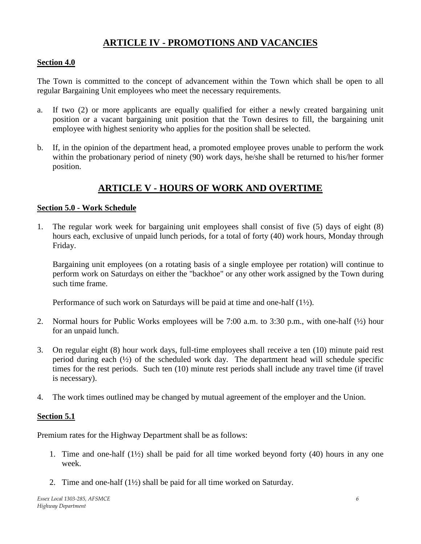# **ARTICLE IV - PROMOTIONS AND VACANCIES**

### <span id="page-5-0"></span>**Section 4.0**

The Town is committed to the concept of advancement within the Town which shall be open to all regular Bargaining Unit employees who meet the necessary requirements.

- a. If two (2) or more applicants are equally qualified for either a newly created bargaining unit position or a vacant bargaining unit position that the Town desires to fill, the bargaining unit employee with highest seniority who applies for the position shall be selected.
- b. If, in the opinion of the department head, a promoted employee proves unable to perform the work within the probationary period of ninety (90) work days, he/she shall be returned to his/her former position.

# **ARTICLE V - HOURS OF WORK AND OVERTIME**

### **Section 5.0 - Work Schedule**

1. The regular work week for bargaining unit employees shall consist of five (5) days of eight (8) hours each, exclusive of unpaid lunch periods, for a total of forty (40) work hours, Monday through Friday.

Bargaining unit employees (on a rotating basis of a single employee per rotation) will continue to perform work on Saturdays on either the "backhoe" or any other work assigned by the Town during such time frame.

Performance of such work on Saturdays will be paid at time and one-half (1½).

- 2. Normal hours for Public Works employees will be 7:00 a.m. to 3:30 p.m., with one-half (½) hour for an unpaid lunch.
- 3. On regular eight (8) hour work days, full-time employees shall receive a ten (10) minute paid rest period during each  $(\frac{1}{2})$  of the scheduled work day. The department head will schedule specific times for the rest periods. Such ten (10) minute rest periods shall include any travel time (if travel is necessary).
- 4. The work times outlined may be changed by mutual agreement of the employer and the Union.

# **Section 5.1**

Premium rates for the Highway Department shall be as follows:

- 1. Time and one-half (1½) shall be paid for all time worked beyond forty (40) hours in any one week.
- 2. Time and one-half (1½) shall be paid for all time worked on Saturday.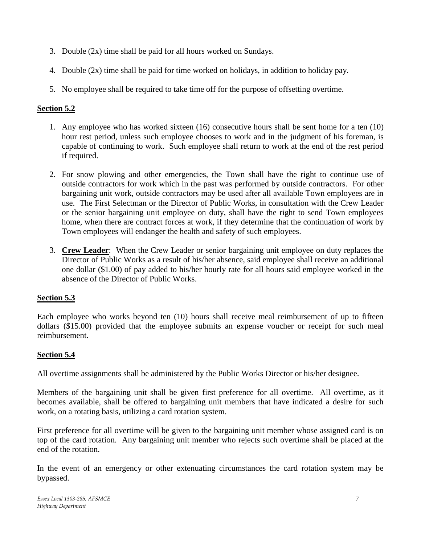- 3. Double (2x) time shall be paid for all hours worked on Sundays.
- 4. Double (2x) time shall be paid for time worked on holidays, in addition to holiday pay.
- 5. No employee shall be required to take time off for the purpose of offsetting overtime.

# **Section 5.2**

- 1. Any employee who has worked sixteen (16) consecutive hours shall be sent home for a ten (10) hour rest period, unless such employee chooses to work and in the judgment of his foreman, is capable of continuing to work. Such employee shall return to work at the end of the rest period if required.
- 2. For snow plowing and other emergencies, the Town shall have the right to continue use of outside contractors for work which in the past was performed by outside contractors. For other bargaining unit work, outside contractors may be used after all available Town employees are in use. The First Selectman or the Director of Public Works, in consultation with the Crew Leader or the senior bargaining unit employee on duty, shall have the right to send Town employees home, when there are contract forces at work, if they determine that the continuation of work by Town employees will endanger the health and safety of such employees.
- 3. **Crew Leader**: When the Crew Leader or senior bargaining unit employee on duty replaces the Director of Public Works as a result of his/her absence, said employee shall receive an additional one dollar (\$1.00) of pay added to his/her hourly rate for all hours said employee worked in the absence of the Director of Public Works.

# **Section 5.3**

Each employee who works beyond ten (10) hours shall receive meal reimbursement of up to fifteen dollars (\$15.00) provided that the employee submits an expense voucher or receipt for such meal reimbursement.

# <span id="page-6-0"></span>**Section 5.4**

All overtime assignments shall be administered by the Public Works Director or his/her designee.

Members of the bargaining unit shall be given first preference for all overtime. All overtime, as it becomes available, shall be offered to bargaining unit members that have indicated a desire for such work, on a rotating basis, utilizing a card rotation system.

First preference for all overtime will be given to the bargaining unit member whose assigned card is on top of the card rotation. Any bargaining unit member who rejects such overtime shall be placed at the end of the rotation.

In the event of an emergency or other extenuating circumstances the card rotation system may be bypassed.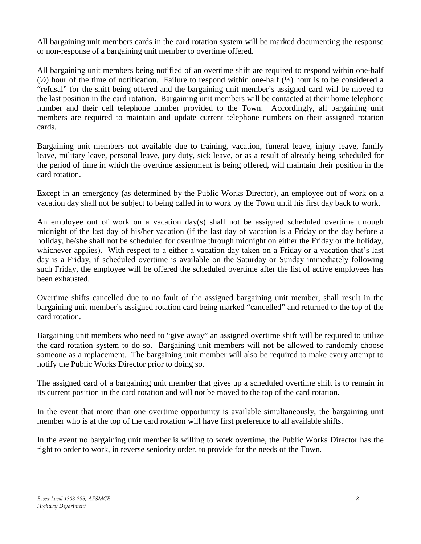All bargaining unit members cards in the card rotation system will be marked documenting the response or non-response of a bargaining unit member to overtime offered.

All bargaining unit members being notified of an overtime shift are required to respond within one-half  $(\frac{1}{2})$  hour of the time of notification. Failure to respond within one-half  $(\frac{1}{2})$  hour is to be considered a "refusal" for the shift being offered and the bargaining unit member's assigned card will be moved to the last position in the card rotation. Bargaining unit members will be contacted at their home telephone number and their cell telephone number provided to the Town. Accordingly, all bargaining unit members are required to maintain and update current telephone numbers on their assigned rotation cards.

Bargaining unit members not available due to training, vacation, funeral leave, injury leave, family leave, military leave, personal leave, jury duty, sick leave, or as a result of already being scheduled for the period of time in which the overtime assignment is being offered, will maintain their position in the card rotation.

Except in an emergency (as determined by the Public Works Director), an employee out of work on a vacation day shall not be subject to being called in to work by the Town until his first day back to work.

An employee out of work on a vacation day(s) shall not be assigned scheduled overtime through midnight of the last day of his/her vacation (if the last day of vacation is a Friday or the day before a holiday, he/she shall not be scheduled for overtime through midnight on either the Friday or the holiday, whichever applies). With respect to a either a vacation day taken on a Friday or a vacation that's last day is a Friday, if scheduled overtime is available on the Saturday or Sunday immediately following such Friday, the employee will be offered the scheduled overtime after the list of active employees has been exhausted.

Overtime shifts cancelled due to no fault of the assigned bargaining unit member, shall result in the bargaining unit member's assigned rotation card being marked "cancelled" and returned to the top of the card rotation.

Bargaining unit members who need to "give away" an assigned overtime shift will be required to utilize the card rotation system to do so. Bargaining unit members will not be allowed to randomly choose someone as a replacement. The bargaining unit member will also be required to make every attempt to notify the Public Works Director prior to doing so.

The assigned card of a bargaining unit member that gives up a scheduled overtime shift is to remain in its current position in the card rotation and will not be moved to the top of the card rotation.

In the event that more than one overtime opportunity is available simultaneously, the bargaining unit member who is at the top of the card rotation will have first preference to all available shifts.

In the event no bargaining unit member is willing to work overtime, the Public Works Director has the right to order to work, in reverse seniority order, to provide for the needs of the Town.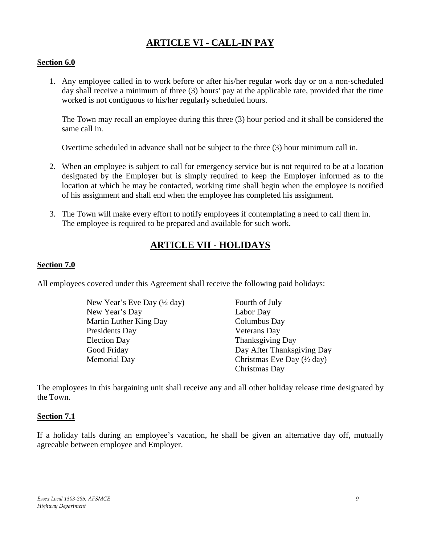# **ARTICLE VI - CALL-IN PAY**

### **Section 6.0**

1. Any employee called in to work before or after his/her regular work day or on a non-scheduled day shall receive a minimum of three (3) hours' pay at the applicable rate, provided that the time worked is not contiguous to his/her regularly scheduled hours.

The Town may recall an employee during this three (3) hour period and it shall be considered the same call in.

Overtime scheduled in advance shall not be subject to the three (3) hour minimum call in.

- 2. When an employee is subject to call for emergency service but is not required to be at a location designated by the Employer but is simply required to keep the Employer informed as to the location at which he may be contacted, working time shall begin when the employee is notified of his assignment and shall end when the employee has completed his assignment.
- <span id="page-8-0"></span>3. The Town will make every effort to notify employees if contemplating a need to call them in. The employee is required to be prepared and available for such work.

# **ARTICLE VII - HOLIDAYS**

### **Section 7.0**

All employees covered under this Agreement shall receive the following paid holidays:

| New Year's Eve Day (1/2 day) | Fourth of July                                |
|------------------------------|-----------------------------------------------|
| New Year's Day               | Labor Day                                     |
| Martin Luther King Day       | Columbus Day                                  |
| Presidents Day               | Veterans Day                                  |
| <b>Election Day</b>          | Thanksgiving Day                              |
| Good Friday                  | Day After Thanksgiving Day                    |
| <b>Memorial Day</b>          | Christmas Eve Day $(\frac{1}{2} \text{ day})$ |
|                              | Christmas Day                                 |

The employees in this bargaining unit shall receive any and all other holiday release time designated by the Town.

### **Section 7.1**

<span id="page-8-1"></span>If a holiday falls during an employee's vacation, he shall be given an alternative day off, mutually agreeable between employee and Employer.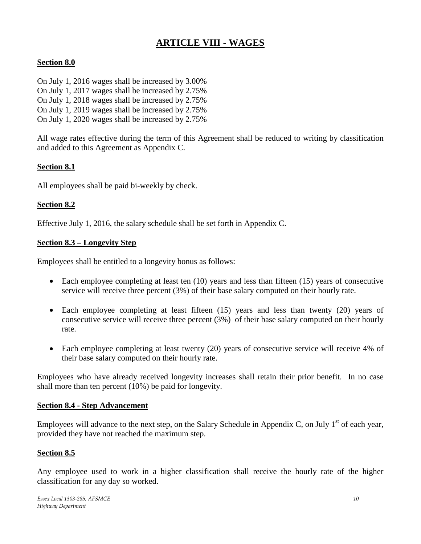# **ARTICLE VIII - WAGES**

# **Section 8.0**

- On July 1, 2016 wages shall be increased by 3.00%
- On July 1, 2017 wages shall be increased by 2.75%
- On July 1, 2018 wages shall be increased by 2.75%
- On July 1, 2019 wages shall be increased by 2.75%
- On July 1, 2020 wages shall be increased by 2.75%

All wage rates effective during the term of this Agreement shall be reduced to writing by classification and added to this Agreement as Appendix C.

# **Section 8.1**

All employees shall be paid bi-weekly by check.

# **Section 8.2**

Effective July 1, 2016, the salary schedule shall be set forth in Appendix C.

# **Section 8.3 – Longevity Step**

Employees shall be entitled to a longevity bonus as follows:

- Each employee completing at least ten (10) years and less than fifteen (15) years of consecutive service will receive three percent (3%) of their base salary computed on their hourly rate.
- Each employee completing at least fifteen (15) years and less than twenty (20) years of consecutive service will receive three percent (3%) of their base salary computed on their hourly rate.
- Each employee completing at least twenty (20) years of consecutive service will receive 4% of their base salary computed on their hourly rate.

Employees who have already received longevity increases shall retain their prior benefit. In no case shall more than ten percent (10%) be paid for longevity.

# **Section 8.4 - Step Advancement**

Employees will advance to the next step, on the Salary Schedule in Appendix C, on July  $1<sup>st</sup>$  of each year, provided they have not reached the maximum step.

# **Section 8.5**

Any employee used to work in a higher classification shall receive the hourly rate of the higher classification for any day so worked.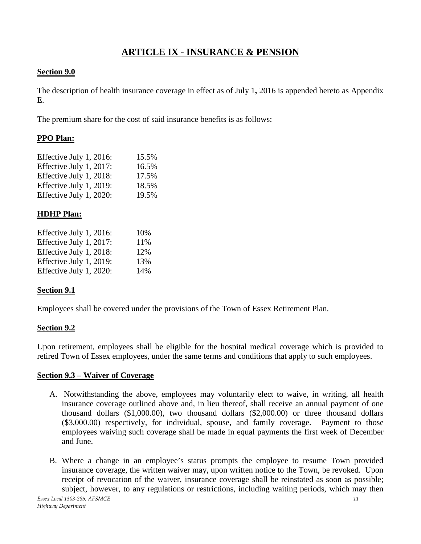# **ARTICLE IX - INSURANCE & PENSION**

# <span id="page-10-0"></span>**Section 9.0**

The description of health insurance coverage in effect as of July 1**,** 2016 is appended hereto as Appendix E.

The premium share for the cost of said insurance benefits is as follows:

# **PPO Plan:**

| Effective July 1, 2016: | 15.5% |
|-------------------------|-------|
| Effective July 1, 2017: | 16.5% |
| Effective July 1, 2018: | 17.5% |
| Effective July 1, 2019: | 18.5% |
| Effective July 1, 2020: | 19.5% |

# **HDHP Plan:**

| Effective July 1, 2016: | 10% |
|-------------------------|-----|
| Effective July 1, 2017: | 11% |
| Effective July 1, 2018: | 12% |
| Effective July 1, 2019: | 13% |
| Effective July 1, 2020: | 14% |

# **Section 9.1**

Employees shall be covered under the provisions of the Town of Essex Retirement Plan.

# **Section 9.2**

Upon retirement, employees shall be eligible for the hospital medical coverage which is provided to retired Town of Essex employees, under the same terms and conditions that apply to such employees.

# **Section 9.3 – Waiver of Coverage**

- A. Notwithstanding the above, employees may voluntarily elect to waive, in writing, all health insurance coverage outlined above and, in lieu thereof, shall receive an annual payment of one thousand dollars (\$1,000.00), two thousand dollars (\$2,000.00) or three thousand dollars (\$3,000.00) respectively, for individual, spouse, and family coverage. Payment to those employees waiving such coverage shall be made in equal payments the first week of December and June.
- B. Where a change in an employee's status prompts the employee to resume Town provided insurance coverage, the written waiver may, upon written notice to the Town, be revoked. Upon receipt of revocation of the waiver, insurance coverage shall be reinstated as soon as possible; subject, however, to any regulations or restrictions, including waiting periods, which may then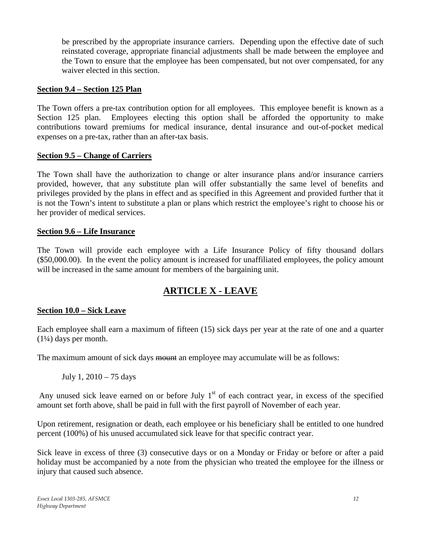be prescribed by the appropriate insurance carriers. Depending upon the effective date of such reinstated coverage, appropriate financial adjustments shall be made between the employee and the Town to ensure that the employee has been compensated, but not over compensated, for any waiver elected in this section.

### **Section 9.4 – Section 125 Plan**

The Town offers a pre-tax contribution option for all employees. This employee benefit is known as a Section 125 plan. Employees electing this option shall be afforded the opportunity to make contributions toward premiums for medical insurance, dental insurance and out-of-pocket medical expenses on a pre-tax, rather than an after-tax basis.

### **Section 9.5 – Change of Carriers**

The Town shall have the authorization to change or alter insurance plans and/or insurance carriers provided, however, that any substitute plan will offer substantially the same level of benefits and privileges provided by the plans in effect and as specified in this Agreement and provided further that it is not the Town's intent to substitute a plan or plans which restrict the employee's right to choose his or her provider of medical services.

### **Section 9.6 – Life Insurance**

<span id="page-11-0"></span>The Town will provide each employee with a Life Insurance Policy of fifty thousand dollars (\$50,000.00). In the event the policy amount is increased for unaffiliated employees, the policy amount will be increased in the same amount for members of the bargaining unit.

# **ARTICLE X - LEAVE**

# **Section 10.0 – Sick Leave**

Each employee shall earn a maximum of fifteen (15) sick days per year at the rate of one and a quarter (1¼) days per month.

The maximum amount of sick days mount an employee may accumulate will be as follows:

July 1, 2010 – 75 days

Any unused sick leave earned on or before July  $1<sup>st</sup>$  of each contract year, in excess of the specified amount set forth above, shall be paid in full with the first payroll of November of each year.

Upon retirement, resignation or death, each employee or his beneficiary shall be entitled to one hundred percent (100%) of his unused accumulated sick leave for that specific contract year.

Sick leave in excess of three (3) consecutive days or on a Monday or Friday or before or after a paid holiday must be accompanied by a note from the physician who treated the employee for the illness or injury that caused such absence.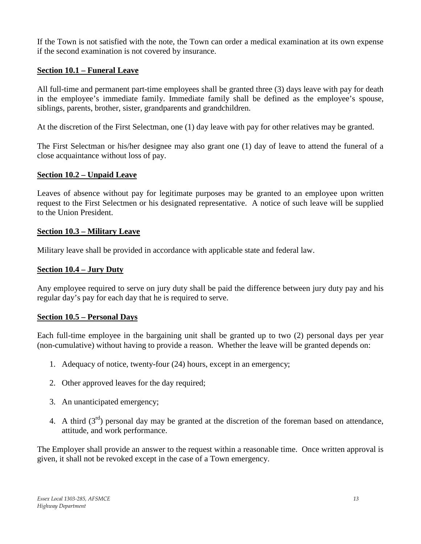If the Town is not satisfied with the note, the Town can order a medical examination at its own expense if the second examination is not covered by insurance.

# **Section 10.1 – Funeral Leave**

All full-time and permanent part-time employees shall be granted three (3) days leave with pay for death in the employee's immediate family. Immediate family shall be defined as the employee's spouse, siblings, parents, brother, sister, grandparents and grandchildren.

At the discretion of the First Selectman, one (1) day leave with pay for other relatives may be granted.

The First Selectman or his/her designee may also grant one (1) day of leave to attend the funeral of a close acquaintance without loss of pay.

# **Section 10.2 – Unpaid Leave**

Leaves of absence without pay for legitimate purposes may be granted to an employee upon written request to the First Selectmen or his designated representative. A notice of such leave will be supplied to the Union President.

# **Section 10.3 – Military Leave**

Military leave shall be provided in accordance with applicable state and federal law.

# **Section 10.4 – Jury Duty**

Any employee required to serve on jury duty shall be paid the difference between jury duty pay and his regular day's pay for each day that he is required to serve.

# **Section 10.5 – Personal Days**

Each full-time employee in the bargaining unit shall be granted up to two (2) personal days per year (non-cumulative) without having to provide a reason. Whether the leave will be granted depends on:

- 1. Adequacy of notice, twenty-four (24) hours, except in an emergency;
- 2. Other approved leaves for the day required;
- 3. An unanticipated emergency;
- 4. A third  $(3<sup>rd</sup>)$  personal day may be granted at the discretion of the foreman based on attendance, attitude, and work performance.

The Employer shall provide an answer to the request within a reasonable time. Once written approval is given, it shall not be revoked except in the case of a Town emergency.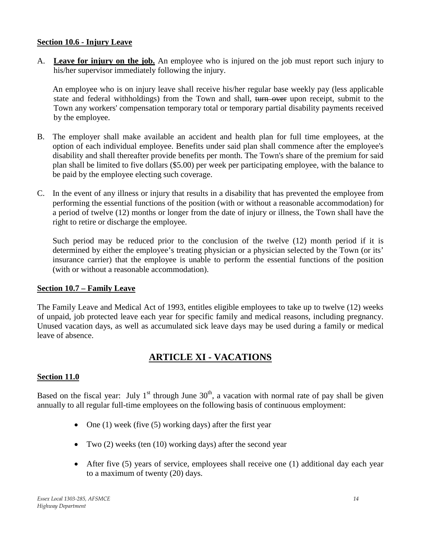### **Section 10.6 - Injury Leave**

A. **Leave for injury on the job.** An employee who is injured on the job must report such injury to his/her supervisor immediately following the injury.

An employee who is on injury leave shall receive his/her regular base weekly pay (less applicable state and federal withholdings) from the Town and shall, turn over upon receipt, submit to the Town any workers' compensation temporary total or temporary partial disability payments received by the employee.

- B. The employer shall make available an accident and health plan for full time employees, at the option of each individual employee. Benefits under said plan shall commence after the employee's disability and shall thereafter provide benefits per month. The Town's share of the premium for said plan shall be limited to five dollars (\$5.00) per week per participating employee, with the balance to be paid by the employee electing such coverage.
- C. In the event of any illness or injury that results in a disability that has prevented the employee from performing the essential functions of the position (with or without a reasonable accommodation) for a period of twelve (12) months or longer from the date of injury or illness, the Town shall have the right to retire or discharge the employee.

Such period may be reduced prior to the conclusion of the twelve (12) month period if it is determined by either the employee's treating physician or a physician selected by the Town (or its' insurance carrier) that the employee is unable to perform the essential functions of the position (with or without a reasonable accommodation).

# **Section 10.7 – Family Leave**

The Family Leave and Medical Act of 1993, entitles eligible employees to take up to twelve (12) weeks of unpaid, job protected leave each year for specific family and medical reasons, including pregnancy. Unused vacation days, as well as accumulated sick leave days may be used during a family or medical leave of absence.

# **ARTICLE XI - VACATIONS**

# <span id="page-13-0"></span>**Section 11.0**

Based on the fiscal year: July 1<sup>st</sup> through June  $30<sup>th</sup>$ , a vacation with normal rate of pay shall be given annually to all regular full-time employees on the following basis of continuous employment:

- One  $(1)$  week (five  $(5)$  working days) after the first year
- Two (2) weeks (ten (10) working days) after the second year
- After five (5) years of service, employees shall receive one (1) additional day each year to a maximum of twenty (20) days.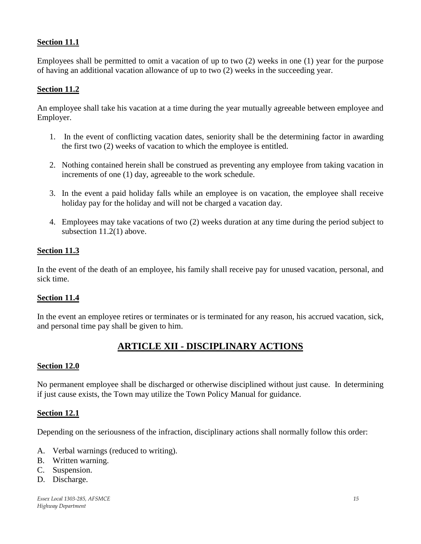# **Section 11.1**

Employees shall be permitted to omit a vacation of up to two (2) weeks in one (1) year for the purpose of having an additional vacation allowance of up to two (2) weeks in the succeeding year.

### **Section 11.2**

An employee shall take his vacation at a time during the year mutually agreeable between employee and Employer.

- 1. In the event of conflicting vacation dates, seniority shall be the determining factor in awarding the first two (2) weeks of vacation to which the employee is entitled.
- 2. Nothing contained herein shall be construed as preventing any employee from taking vacation in increments of one (1) day, agreeable to the work schedule.
- 3. In the event a paid holiday falls while an employee is on vacation, the employee shall receive holiday pay for the holiday and will not be charged a vacation day.
- 4. Employees may take vacations of two (2) weeks duration at any time during the period subject to subsection 11.2(1) above.

### **Section 11.3**

In the event of the death of an employee, his family shall receive pay for unused vacation, personal, and sick time.

### **Section 11.4**

In the event an employee retires or terminates or is terminated for any reason, his accrued vacation, sick, and personal time pay shall be given to him.

# **ARTICLE XII - DISCIPLINARY ACTIONS**

### <span id="page-14-0"></span>**Section 12.0**

No permanent employee shall be discharged or otherwise disciplined without just cause. In determining if just cause exists, the Town may utilize the Town Policy Manual for guidance.

### **Section 12.1**

Depending on the seriousness of the infraction, disciplinary actions shall normally follow this order:

- A. Verbal warnings (reduced to writing).
- B. Written warning.
- C. Suspension.
- D. Discharge.

*Essex Local 1303-285, AFSMCE 15 Highway Department*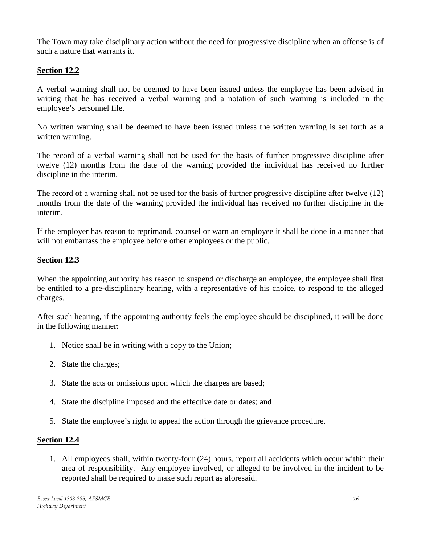The Town may take disciplinary action without the need for progressive discipline when an offense is of such a nature that warrants it.

# **Section 12.2**

A verbal warning shall not be deemed to have been issued unless the employee has been advised in writing that he has received a verbal warning and a notation of such warning is included in the employee's personnel file.

No written warning shall be deemed to have been issued unless the written warning is set forth as a written warning.

The record of a verbal warning shall not be used for the basis of further progressive discipline after twelve (12) months from the date of the warning provided the individual has received no further discipline in the interim.

The record of a warning shall not be used for the basis of further progressive discipline after twelve (12) months from the date of the warning provided the individual has received no further discipline in the interim.

If the employer has reason to reprimand, counsel or warn an employee it shall be done in a manner that will not embarrass the employee before other employees or the public.

# **Section 12.3**

When the appointing authority has reason to suspend or discharge an employee, the employee shall first be entitled to a pre-disciplinary hearing, with a representative of his choice, to respond to the alleged charges.

After such hearing, if the appointing authority feels the employee should be disciplined, it will be done in the following manner:

- 1. Notice shall be in writing with a copy to the Union;
- 2. State the charges;
- 3. State the acts or omissions upon which the charges are based;
- 4. State the discipline imposed and the effective date or dates; and
- 5. State the employee's right to appeal the action through the grievance procedure.

# **Section 12.4**

1. All employees shall, within twenty-four (24) hours, report all accidents which occur within their area of responsibility. Any employee involved, or alleged to be involved in the incident to be reported shall be required to make such report as aforesaid.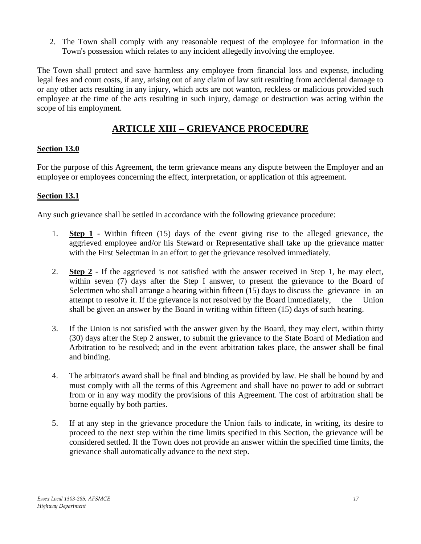2. The Town shall comply with any reasonable request of the employee for information in the Town's possession which relates to any incident allegedly involving the employee.

The Town shall protect and save harmless any employee from financial loss and expense, including legal fees and court costs, if any, arising out of any claim of law suit resulting from accidental damage to or any other acts resulting in any injury, which acts are not wanton, reckless or malicious provided such employee at the time of the acts resulting in such injury, damage or destruction was acting within the scope of his employment.

# **ARTICLE XIII** − **GRIEVANCE PROCEDURE**

# <span id="page-16-0"></span>**Section 13.0**

For the purpose of this Agreement, the term grievance means any dispute between the Employer and an employee or employees concerning the effect, interpretation, or application of this agreement.

# **Section 13.1**

Any such grievance shall be settled in accordance with the following grievance procedure:

- 1. **Step 1** Within fifteen (15) days of the event giving rise to the alleged grievance, the aggrieved employee and/or his Steward or Representative shall take up the grievance matter with the First Selectman in an effort to get the grievance resolved immediately.
- 2. **Step 2** If the aggrieved is not satisfied with the answer received in Step 1, he may elect, within seven (7) days after the Step I answer, to present the grievance to the Board of Selectmen who shall arrange a hearing within fifteen (15) days to discuss the grievance in an attempt to resolve it. If the grievance is not resolved by the Board immediately, the Union shall be given an answer by the Board in writing within fifteen (15) days of such hearing.
- 3. If the Union is not satisfied with the answer given by the Board, they may elect, within thirty (30) days after the Step 2 answer, to submit the grievance to the State Board of Mediation and Arbitration to be resolved; and in the event arbitration takes place, the answer shall be final and binding.
- 4. The arbitrator's award shall be final and binding as provided by law. He shall be bound by and must comply with all the terms of this Agreement and shall have no power to add or subtract from or in any way modify the provisions of this Agreement. The cost of arbitration shall be borne equally by both parties.
- 5. If at any step in the grievance procedure the Union fails to indicate, in writing, its desire to proceed to the next step within the time limits specified in this Section, the grievance will be considered settled. If the Town does not provide an answer within the specified time limits, the grievance shall automatically advance to the next step.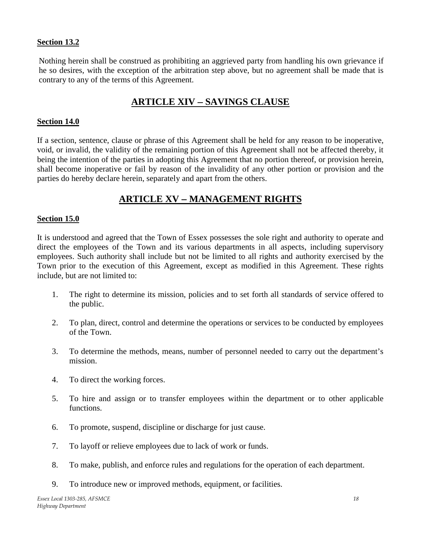### **Section 13.2**

Nothing herein shall be construed as prohibiting an aggrieved party from handling his own grievance if he so desires, with the exception of the arbitration step above, but no agreement shall be made that is contrary to any of the terms of this Agreement.

# <span id="page-17-0"></span>**ARTICLE XIV** − **SAVINGS CLAUSE**

### **Section 14.0**

If a section, sentence, clause or phrase of this Agreement shall be held for any reason to be inoperative, void, or invalid, the validity of the remaining portion of this Agreement shall not be affected thereby, it being the intention of the parties in adopting this Agreement that no portion thereof, or provision herein, shall become inoperative or fail by reason of the invalidity of any other portion or provision and the parties do hereby declare herein, separately and apart from the others.

# **ARTICLE XV** − **MANAGEMENT RIGHTS**

#### <span id="page-17-1"></span>**Section 15.0**

It is understood and agreed that the Town of Essex possesses the sole right and authority to operate and direct the employees of the Town and its various departments in all aspects, including supervisory employees. Such authority shall include but not be limited to all rights and authority exercised by the Town prior to the execution of this Agreement, except as modified in this Agreement. These rights include, but are not limited to:

- 1. The right to determine its mission, policies and to set forth all standards of service offered to the public.
- 2. To plan, direct, control and determine the operations or services to be conducted by employees of the Town.
- 3. To determine the methods, means, number of personnel needed to carry out the department's mission.
- 4. To direct the working forces.
- 5. To hire and assign or to transfer employees within the department or to other applicable functions.
- 6. To promote, suspend, discipline or discharge for just cause.
- 7. To layoff or relieve employees due to lack of work or funds.
- 8. To make, publish, and enforce rules and regulations for the operation of each department.
- 9. To introduce new or improved methods, equipment, or facilities.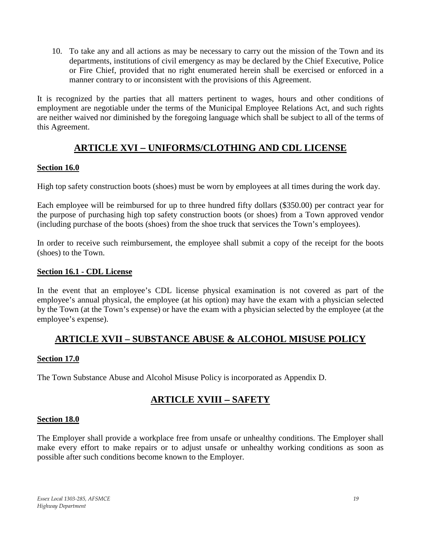10. To take any and all actions as may be necessary to carry out the mission of the Town and its departments, institutions of civil emergency as may be declared by the Chief Executive, Police or Fire Chief, provided that no right enumerated herein shall be exercised or enforced in a manner contrary to or inconsistent with the provisions of this Agreement.

It is recognized by the parties that all matters pertinent to wages, hours and other conditions of employment are negotiable under the terms of the Municipal Employee Relations Act, and such rights are neither waived nor diminished by the foregoing language which shall be subject to all of the terms of this Agreement.

# **ARTICLE XVI** − **UNIFORMS/CLOTHING AND CDL LICENSE**

### <span id="page-18-1"></span><span id="page-18-0"></span>**Section 16.0**

High top safety construction boots (shoes) must be worn by employees at all times during the work day.

Each employee will be reimbursed for up to three hundred fifty dollars (\$350.00) per contract year for the purpose of purchasing high top safety construction boots (or shoes) from a Town approved vendor (including purchase of the boots (shoes) from the shoe truck that services the Town's employees).

In order to receive such reimbursement, the employee shall submit a copy of the receipt for the boots (shoes) to the Town.

### **Section 16.1 - CDL License**

In the event that an employee's CDL license physical examination is not covered as part of the employee's annual physical, the employee (at his option) may have the exam with a physician selected by the Town (at the Town's expense) or have the exam with a physician selected by the employee (at the employee's expense).

# **ARTICLE XVII – SUBSTANCE ABUSE & ALCOHOL MISUSE POLICY**

# **Section 17.0**

<span id="page-18-2"></span>The Town Substance Abuse and Alcohol Misuse Policy is incorporated as Appendix D.

# **ARTICLE XVIII** − **SAFETY**

### **Section 18.0**

The Employer shall provide a workplace free from unsafe or unhealthy conditions. The Employer shall make every effort to make repairs or to adjust unsafe or unhealthy working conditions as soon as possible after such conditions become known to the Employer.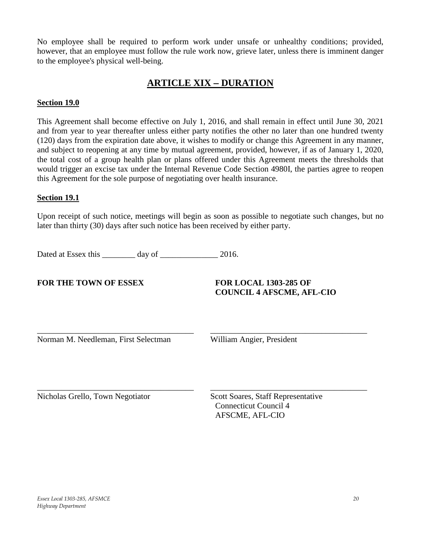<span id="page-19-0"></span>No employee shall be required to perform work under unsafe or unhealthy conditions; provided, however, that an employee must follow the rule work now, grieve later, unless there is imminent danger to the employee's physical well-being.

# **ARTICLE XIX** − **DURATION**

### **Section 19.0**

This Agreement shall become effective on July 1, 2016, and shall remain in effect until June 30, 2021 and from year to year thereafter unless either party notifies the other no later than one hundred twenty (120) days from the expiration date above, it wishes to modify or change this Agreement in any manner, and subject to reopening at any time by mutual agreement, provided, however, if as of January 1, 2020, the total cost of a group health plan or plans offered under this Agreement meets the thresholds that would trigger an excise tax under the Internal Revenue Code Section 4980I, the parties agree to reopen this Agreement for the sole purpose of negotiating over health insurance.

### **Section 19.1**

Upon receipt of such notice, meetings will begin as soon as possible to negotiate such changes, but no later than thirty (30) days after such notice has been received by either party.

\_\_\_\_\_\_\_\_\_\_\_\_\_\_\_\_\_\_\_\_\_\_\_\_\_\_\_\_\_\_\_\_\_\_\_\_\_\_ \_\_\_\_\_\_\_\_\_\_\_\_\_\_\_\_\_\_\_\_\_\_\_\_\_\_\_\_\_\_\_\_\_\_\_\_\_\_

\_\_\_\_\_\_\_\_\_\_\_\_\_\_\_\_\_\_\_\_\_\_\_\_\_\_\_\_\_\_\_\_\_\_\_\_\_\_ \_\_\_\_\_\_\_\_\_\_\_\_\_\_\_\_\_\_\_\_\_\_\_\_\_\_\_\_\_\_\_\_\_\_\_\_\_\_

Dated at Essex this \_\_\_\_\_\_\_\_ day of \_\_\_\_\_\_\_\_\_\_\_\_\_\_\_ 2016.

**FOR THE TOWN OF ESSEX FOR LOCAL 1303-285 OF** 

**COUNCIL 4 AFSCME, AFL-CIO**

Norman M. Needleman, First Selectman William Angier, President

Nicholas Grello, Town Negotiator Scott Soares, Staff Representative

Connecticut Council 4 AFSCME, AFL-CIO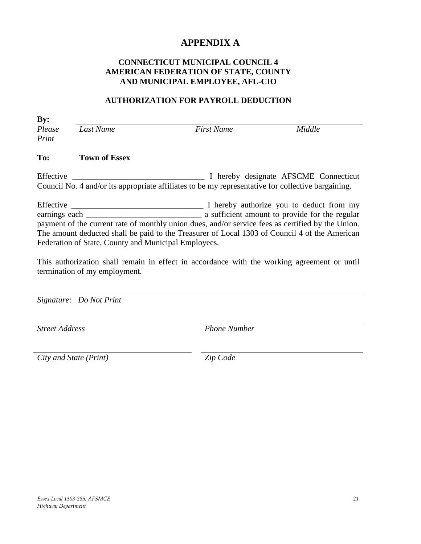# **APPENDIX A**

# <span id="page-20-0"></span>**CONNECTICUT MUNICIPAL COUNCIL 4 AMERICAN FEDERATION OF STATE, COUNTY AND MUNICIPAL EMPLOYEE, AFL-CIO**

### **AUTHORIZATION FOR PAYROLL DEDUCTION**

**By:** *Please Print Last Name First Name Middle*

#### **To: Town of Essex**

Effective \_\_\_\_\_\_\_\_\_\_\_\_\_\_\_\_\_\_\_\_\_\_\_\_\_\_\_\_\_\_\_\_ I hereby designate AFSCME Connecticut Council No. 4 and/or its appropriate affiliates to be my representative for collective bargaining.

Effective \_\_\_\_\_\_\_\_\_\_\_\_\_\_\_\_\_\_\_\_\_\_\_\_\_\_\_\_\_\_\_\_ I hereby authorize you to deduct from my earnings each \_\_\_\_\_\_\_\_\_\_\_\_\_\_\_\_\_\_\_\_\_\_\_\_\_\_\_\_ a sufficient amount to provide for the regular payment of the current rate of monthly union dues, and/or service fees as certified by the Union. The amount deducted shall be paid to the Treasurer of Local 1303 of Council 4 of the American Federation of State, County and Municipal Employees.

This authorization shall remain in effect in accordance with the working agreement or until termination of my employment.

*Signature: Do Not Print*

*Street Address Phone Number*

*City and State (Print) Zip Code*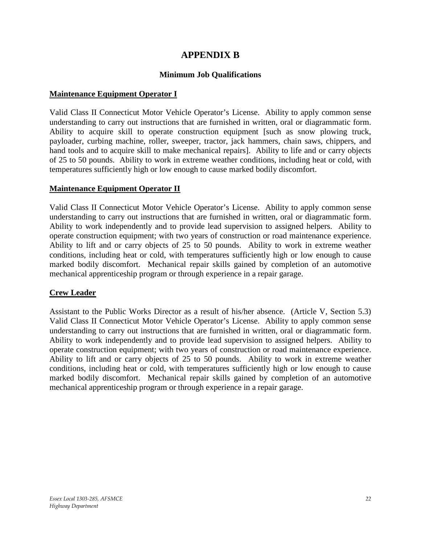# **APPENDIX B**

# **Minimum Job Qualifications**

### <span id="page-21-0"></span>**Maintenance Equipment Operator I**

Valid Class II Connecticut Motor Vehicle Operator's License. Ability to apply common sense understanding to carry out instructions that are furnished in written, oral or diagrammatic form. Ability to acquire skill to operate construction equipment [such as snow plowing truck, payloader, curbing machine, roller, sweeper, tractor, jack hammers, chain saws, chippers, and hand tools and to acquire skill to make mechanical repairs]. Ability to life and or carry objects of 25 to 50 pounds. Ability to work in extreme weather conditions, including heat or cold, with temperatures sufficiently high or low enough to cause marked bodily discomfort.

# **Maintenance Equipment Operator II**

Valid Class II Connecticut Motor Vehicle Operator's License. Ability to apply common sense understanding to carry out instructions that are furnished in written, oral or diagrammatic form. Ability to work independently and to provide lead supervision to assigned helpers. Ability to operate construction equipment; with two years of construction or road maintenance experience. Ability to lift and or carry objects of 25 to 50 pounds. Ability to work in extreme weather conditions, including heat or cold, with temperatures sufficiently high or low enough to cause marked bodily discomfort. Mechanical repair skills gained by completion of an automotive mechanical apprenticeship program or through experience in a repair garage.

# **Crew Leader**

Assistant to the Public Works Director as a result of his/her absence. (Article V, Section 5.3) Valid Class II Connecticut Motor Vehicle Operator's License. Ability to apply common sense understanding to carry out instructions that are furnished in written, oral or diagrammatic form. Ability to work independently and to provide lead supervision to assigned helpers. Ability to operate construction equipment; with two years of construction or road maintenance experience. Ability to lift and or carry objects of 25 to 50 pounds. Ability to work in extreme weather conditions, including heat or cold, with temperatures sufficiently high or low enough to cause marked bodily discomfort. Mechanical repair skills gained by completion of an automotive mechanical apprenticeship program or through experience in a repair garage.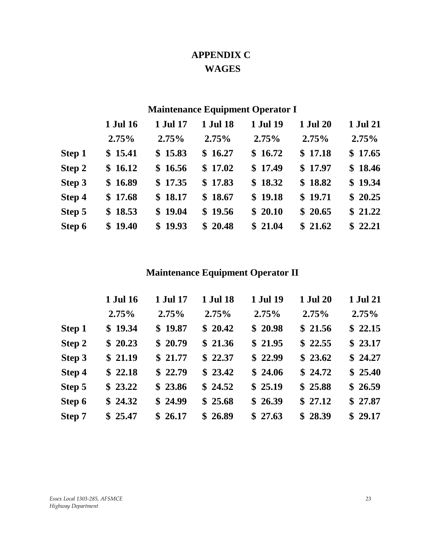# **APPENDIX C WAGES**

# **Maintenance Equipment Operator I**

<span id="page-22-0"></span>

|               | 1 Jul 16 | 1 Jul 17 | 1 Jul 18 | 1 Jul 19 | 1 Jul 20 | 1 Jul 21 |
|---------------|----------|----------|----------|----------|----------|----------|
|               | 2.75%    | 2.75%    | 2.75%    | 2.75%    | 2.75%    | 2.75%    |
| <b>Step 1</b> | \$15.41  | \$15.83  | \$16.27  | \$16.72  | \$17.18  | \$17.65  |
| Step 2        | \$16.12  | \$16.56  | \$17.02  | \$17.49  | \$17.97  | \$18.46  |
| Step 3        | \$16.89  | \$17.35  | \$17.83  | \$18.32  | \$18.82  | \$19.34  |
| Step 4        | \$17.68  | \$18.17  | \$18.67  | \$19.18  | \$19.71  | \$20.25  |
| Step 5        | \$18.53  | \$19.04  | \$19.56  | \$20.10  | \$20.65  | \$21.22  |
| Step 6        | \$19.40  | \$19.93  | \$20.48  | \$21.04  | \$21.62  | \$22.21  |

# **Maintenance Equipment Operator II**

|               | 1 Jul 16 | 1 Jul 17 | 1 Jul 18 | 1 Jul 19 | <b>1 Jul 20</b> | 1 Jul 21 |
|---------------|----------|----------|----------|----------|-----------------|----------|
|               | 2.75%    | 2.75%    | 2.75%    | 2.75%    | 2.75%           | 2.75%    |
| <b>Step 1</b> | \$19.34  | \$19.87  | \$20.42  | \$20.98  | \$21.56         | \$22.15  |
| Step 2        | \$20.23  | \$20.79  | \$21.36  | \$21.95  | \$22.55         | \$23.17  |
| Step 3        | \$21.19  | \$21.77  | \$22.37  | \$22.99  | \$23.62         | \$24.27  |
| Step 4        | \$22.18  | \$22.79  | \$23.42  | \$24.06  | \$24.72         | \$25.40  |
| Step 5        | \$23.22  | \$23.86  | \$24.52  | \$25.19  | \$25.88         | \$26.59  |
| Step 6        | \$24.32  | \$24.99  | \$25.68  | \$26.39  | \$27.12         | \$27.87  |
| Step 7        | \$25.47  | \$26.17  | \$26.89  | \$27.63  | \$28.39         | \$29.17  |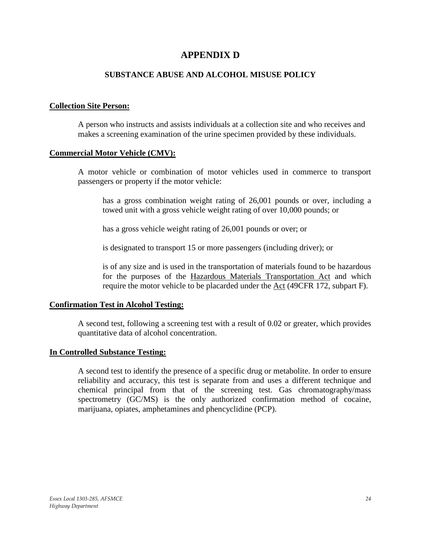# **APPENDIX D**

### **SUBSTANCE ABUSE AND ALCOHOL MISUSE POLICY**

#### <span id="page-23-0"></span>**Collection Site Person:**

A person who instructs and assists individuals at a collection site and who receives and makes a screening examination of the urine specimen provided by these individuals.

#### **Commercial Motor Vehicle (CMV):**

A motor vehicle or combination of motor vehicles used in commerce to transport passengers or property if the motor vehicle:

has a gross combination weight rating of 26,001 pounds or over, including a towed unit with a gross vehicle weight rating of over 10,000 pounds; or

has a gross vehicle weight rating of 26,001 pounds or over; or

is designated to transport 15 or more passengers (including driver); or

is of any size and is used in the transportation of materials found to be hazardous for the purposes of the Hazardous Materials Transportation Act and which require the motor vehicle to be placarded under the Act (49CFR 172, subpart F).

### **Confirmation Test in Alcohol Testing:**

A second test, following a screening test with a result of 0.02 or greater, which provides quantitative data of alcohol concentration.

#### **In Controlled Substance Testing:**

A second test to identify the presence of a specific drug or metabolite. In order to ensure reliability and accuracy, this test is separate from and uses a different technique and chemical principal from that of the screening test. Gas chromatography/mass spectrometry (GC/MS) is the only authorized confirmation method of cocaine, marijuana, opiates, amphetamines and phencyclidine (PCP).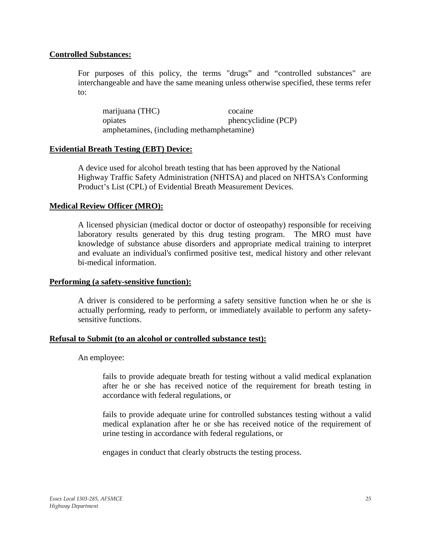### **Controlled Substances:**

For purposes of this policy, the terms "drugs" and "controlled substances" are interchangeable and have the same meaning unless otherwise specified, these terms refer to:

marijuana (THC) cocaine opiates phencyclidine (PCP) amphetamines, (including methamphetamine)

### **Evidential Breath Testing (EBT) Device:**

A device used for alcohol breath testing that has been approved by the National Highway Traffic Safety Administration (NHTSA) and placed on NHTSA's Conforming Product's List (CPL) of Evidential Breath Measurement Devices.

### **Medical Review Officer (MRO):**

A licensed physician (medical doctor or doctor of osteopathy) responsible for receiving laboratory results generated by this drug testing program. The MRO must have knowledge of substance abuse disorders and appropriate medical training to interpret and evaluate an individual's confirmed positive test, medical history and other relevant bi-medical information.

### **Performing (a safety-sensitive function):**

A driver is considered to be performing a safety sensitive function when he or she is actually performing, ready to perform, or immediately available to perform any safetysensitive functions.

### **Refusal to Submit (to an alcohol or controlled substance test):**

An employee:

fails to provide adequate breath for testing without a valid medical explanation after he or she has received notice of the requirement for breath testing in accordance with federal regulations, or

fails to provide adequate urine for controlled substances testing without a valid medical explanation after he or she has received notice of the requirement of urine testing in accordance with federal regulations, or

engages in conduct that clearly obstructs the testing process.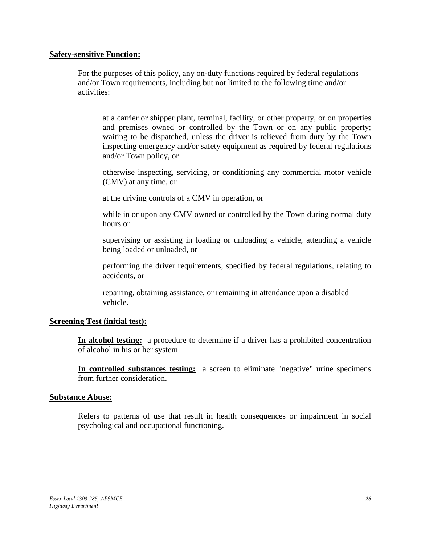#### **Safety-sensitive Function:**

For the purposes of this policy, any on-duty functions required by federal regulations and/or Town requirements, including but not limited to the following time and/or activities:

at a carrier or shipper plant, terminal, facility, or other property, or on properties and premises owned or controlled by the Town or on any public property; waiting to be dispatched, unless the driver is relieved from duty by the Town inspecting emergency and/or safety equipment as required by federal regulations and/or Town policy, or

otherwise inspecting, servicing, or conditioning any commercial motor vehicle (CMV) at any time, or

at the driving controls of a CMV in operation, or

while in or upon any CMV owned or controlled by the Town during normal duty hours or

supervising or assisting in loading or unloading a vehicle, attending a vehicle being loaded or unloaded, or

performing the driver requirements, specified by federal regulations, relating to accidents, or

repairing, obtaining assistance, or remaining in attendance upon a disabled vehicle.

### **Screening Test (initial test):**

**In alcohol testing:** a procedure to determine if a driver has a prohibited concentration of alcohol in his or her system

**In controlled substances testing:** a screen to eliminate "negative" urine specimens from further consideration.

### **Substance Abuse:**

Refers to patterns of use that result in health consequences or impairment in social psychological and occupational functioning.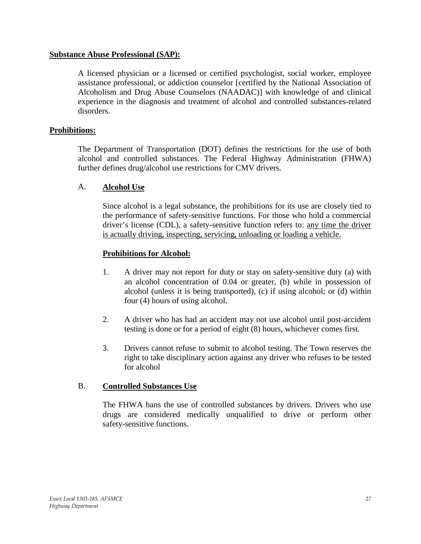### **Substance Abuse Professional (SAP):**

A licensed physician or a licensed or certified psychologist, social worker, employee assistance professional, or addiction counselor [certified by the National Association of Alcoholism and Drug Abuse Counselors (NAADAC)] with knowledge of and clinical experience in the diagnosis and treatment of alcohol and controlled substances-related disorders.

### **Prohibitions:**

The Department of Transportation (DOT) defines the restrictions for the use of both alcohol and controlled substances. The Federal Highway Administration (FHWA) further defines drug/alcohol use restrictions for CMV drivers.

# A. **Alcohol Use**

Since alcohol is a legal substance, the prohibitions for its use are closely tied to the performance of safety-sensitive functions. For those who hold a commercial driver's license (CDL), a safety-sensitive function refers to: any time the driver is actually driving, inspecting, servicing, unloading or loading a vehicle.

### **Prohibitions for Alcohol:**

- 1. A driver may not report for duty or stay on safety-sensitive duty (a) with an alcohol concentration of 0.04 or greater, (b) while in possession of alcohol (unless it is being transported), (c) if using alcohol; or (d) within four (4) hours of using alcohol.
- 2. A driver who has had an accident may not use alcohol until post-accident testing is done or for a period of eight (8) hours, whichever comes first.
- 3. Drivers cannot refuse to submit to alcohol testing. The Town reserves the right to take disciplinary action against any driver who refuses to be tested for alcohol

### B. **Controlled Substances Use**

The FHWA bans the use of controlled substances by drivers. Drivers who use drugs are considered medically unqualified to drive or perform other safety-sensitive functions.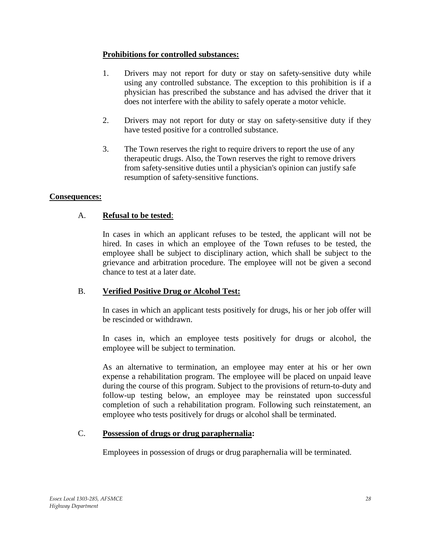# **Prohibitions for controlled substances:**

- 1. Drivers may not report for duty or stay on safety-sensitive duty while using any controlled substance. The exception to this prohibition is if a physician has prescribed the substance and has advised the driver that it does not interfere with the ability to safely operate a motor vehicle.
- 2. Drivers may not report for duty or stay on safety-sensitive duty if they have tested positive for a controlled substance.
- 3. The Town reserves the right to require drivers to report the use of any therapeutic drugs. Also, the Town reserves the right to remove drivers from safety-sensitive duties until a physician's opinion can justify safe resumption of safety-sensitive functions.

# **Consequences:**

# A. **Refusal to be tested**:

In cases in which an applicant refuses to be tested, the applicant will not be hired. In cases in which an employee of the Town refuses to be tested, the employee shall be subject to disciplinary action, which shall be subject to the grievance and arbitration procedure. The employee will not be given a second chance to test at a later date.

# B. **Verified Positive Drug or Alcohol Test:**

In cases in which an applicant tests positively for drugs, his or her job offer will be rescinded or withdrawn.

In cases in, which an employee tests positively for drugs or alcohol, the employee will be subject to termination.

As an alternative to termination, an employee may enter at his or her own expense a rehabilitation program. The employee will be placed on unpaid leave during the course of this program. Subject to the provisions of return-to-duty and follow-up testing below, an employee may be reinstated upon successful completion of such a rehabilitation program. Following such reinstatement, an employee who tests positively for drugs or alcohol shall be terminated.

# C. **Possession of drugs or drug paraphernalia:**

Employees in possession of drugs or drug paraphernalia will be terminated.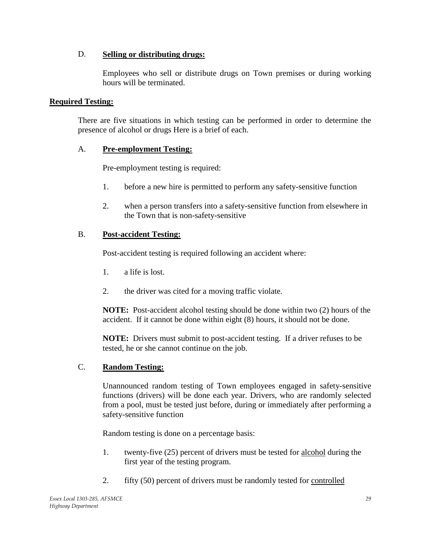# D. **Selling or distributing drugs:**

Employees who sell or distribute drugs on Town premises or during working hours will be terminated.

# **Required Testing:**

There are five situations in which testing can be performed in order to determine the presence of alcohol or drugs Here is a brief of each.

# A. **Pre-employment Testing:**

Pre-employment testing is required:

- 1. before a new hire is permitted to perform any safety-sensitive function
- 2. when a person transfers into a safety-sensitive function from elsewhere in the Town that is non-safety-sensitive

# B. **Post-accident Testing:**

Post-accident testing is required following an accident where:

- 1. a life is lost.
- 2. the driver was cited for a moving traffic violate.

**NOTE:** Post-accident alcohol testing should be done within two (2) hours of the accident. If it cannot be done within eight (8) hours, it should not be done.

**NOTE:** Drivers must submit to post-accident testing. If a driver refuses to be tested, he or she cannot continue on the job.

# C. **Random Testing:**

Unannounced random testing of Town employees engaged in safety-sensitive functions (drivers) will be done each year. Drivers, who are randomly selected from a pool, must be tested just before, during or immediately after performing a safety-sensitive function

Random testing is done on a percentage basis:

- 1. twenty-five (25) percent of drivers must be tested for alcohol during the first year of the testing program.
- 2. fifty (50) percent of drivers must be randomly tested for controlled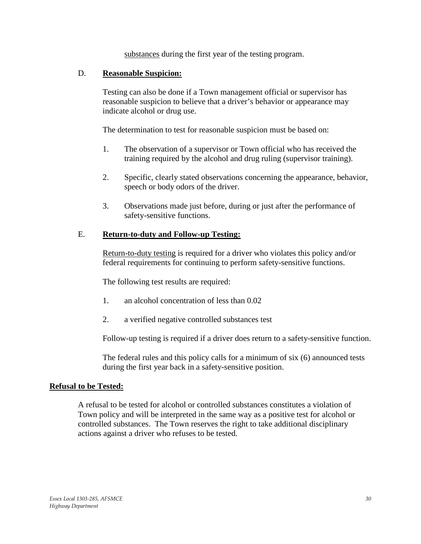substances during the first year of the testing program.

### D. **Reasonable Suspicion:**

Testing can also be done if a Town management official or supervisor has reasonable suspicion to believe that a driver's behavior or appearance may indicate alcohol or drug use.

The determination to test for reasonable suspicion must be based on:

- 1. The observation of a supervisor or Town official who has received the training required by the alcohol and drug ruling (supervisor training).
- 2. Specific, clearly stated observations concerning the appearance, behavior, speech or body odors of the driver.
- 3. Observations made just before, during or just after the performance of safety-sensitive functions.

# E. **Return-to-duty and Follow-up Testing:**

Return-to-duty testing is required for a driver who violates this policy and/or federal requirements for continuing to perform safety-sensitive functions.

The following test results are required:

- 1. an alcohol concentration of less than 0.02
- 2. a verified negative controlled substances test

Follow-up testing is required if a driver does return to a safety-sensitive function.

The federal rules and this policy calls for a minimum of six (6) announced tests during the first year back in a safety-sensitive position.

### **Refusal to be Tested:**

A refusal to be tested for alcohol or controlled substances constitutes a violation of Town policy and will be interpreted in the same way as a positive test for alcohol or controlled substances. The Town reserves the right to take additional disciplinary actions against a driver who refuses to be tested.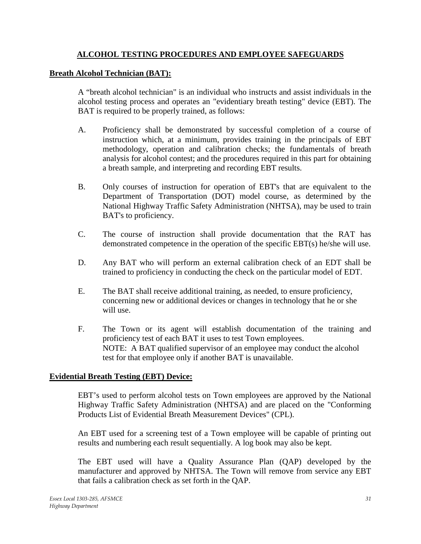# **ALCOHOL TESTING PROCEDURES AND EMPLOYEE SAFEGUARDS**

### **Breath Alcohol Technician (BAT):**

A "breath alcohol technician" is an individual who instructs and assist individuals in the alcohol testing process and operates an "evidentiary breath testing" device (EBT). The BAT is required to be properly trained, as follows:

- A. Proficiency shall be demonstrated by successful completion of a course of instruction which, at a minimum, provides training in the principals of EBT methodology, operation and calibration checks; the fundamentals of breath analysis for alcohol contest; and the procedures required in this part for obtaining a breath sample, and interpreting and recording EBT results.
- B. Only courses of instruction for operation of EBT's that are equivalent to the Department of Transportation (DOT) model course, as determined by the National Highway Traffic Safety Administration (NHTSA), may be used to train BAT's to proficiency.
- C. The course of instruction shall provide documentation that the RAT has demonstrated competence in the operation of the specific EBT(s) he/she will use.
- D. Any BAT who will perform an external calibration check of an EDT shall be trained to proficiency in conducting the check on the particular model of EDT.
- E. The BAT shall receive additional training, as needed, to ensure proficiency, concerning new or additional devices or changes in technology that he or she will use.
- F. The Town or its agent will establish documentation of the training and proficiency test of each BAT it uses to test Town employees. NOTE: A BAT qualified supervisor of an employee may conduct the alcohol test for that employee only if another BAT is unavailable.

### **Evidential Breath Testing (EBT) Device:**

EBT's used to perform alcohol tests on Town employees are approved by the National Highway Traffic Safety Administration (NHTSA) and are placed on the "Conforming Products List of Evidential Breath Measurement Devices" (CPL).

An EBT used for a screening test of a Town employee will be capable of printing out results and numbering each result sequentially. A log book may also be kept.

The EBT used will have a Quality Assurance Plan (QAP) developed by the manufacturer and approved by NHTSA. The Town will remove from service any EBT that fails a calibration check as set forth in the QAP.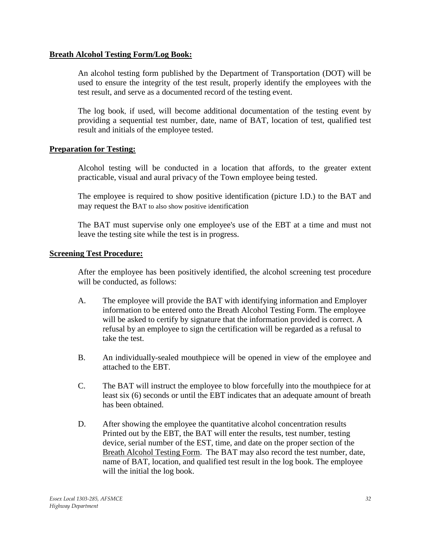### **Breath Alcohol Testing Form/Log Book:**

An alcohol testing form published by the Department of Transportation (DOT) will be used to ensure the integrity of the test result, properly identify the employees with the test result, and serve as a documented record of the testing event.

The log book, if used, will become additional documentation of the testing event by providing a sequential test number, date, name of BAT, location of test, qualified test result and initials of the employee tested.

### **Preparation for Testing:**

Alcohol testing will be conducted in a location that affords, to the greater extent practicable, visual and aural privacy of the Town employee being tested.

The employee is required to show positive identification (picture I.D.) to the BAT and may request the BAT to also show positive identification

The BAT must supervise only one employee's use of the EBT at a time and must not leave the testing site while the test is in progress.

### **Screening Test Procedure:**

After the employee has been positively identified, the alcohol screening test procedure will be conducted, as follows:

- A. The employee will provide the BAT with identifying information and Employer information to be entered onto the Breath Alcohol Testing Form. The employee will be asked to certify by signature that the information provided is correct. A refusal by an employee to sign the certification will be regarded as a refusal to take the test.
- B. An individually-sealed mouthpiece will be opened in view of the employee and attached to the EBT.
- C. The BAT will instruct the employee to blow forcefully into the mouthpiece for at least six (6) seconds or until the EBT indicates that an adequate amount of breath has been obtained.
- D. After showing the employee the quantitative alcohol concentration results Printed out by the EBT, the BAT will enter the results, test number, testing device, serial number of the EST, time, and date on the proper section of the Breath Alcohol Testing Form. The BAT may also record the test number, date, name of BAT, location, and qualified test result in the log book. The employee will the initial the log book.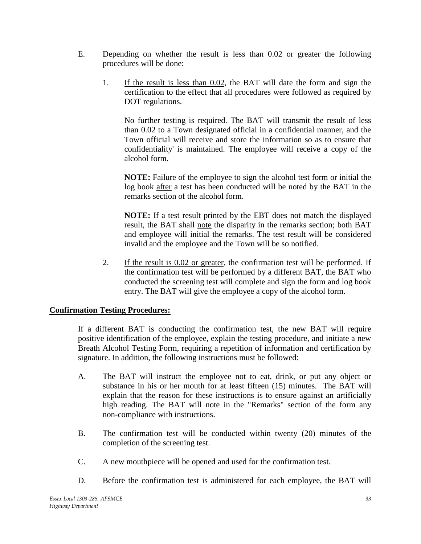- E. Depending on whether the result is less than 0.02 or greater the following procedures will be done:
	- 1. If the result is less than 0.02, the BAT will date the form and sign the certification to the effect that all procedures were followed as required by DOT regulations.

No further testing is required. The BAT will transmit the result of less than 0.02 to a Town designated official in a confidential manner, and the Town official will receive and store the information so as to ensure that confidentiality' is maintained. The employee will receive a copy of the alcohol form.

**NOTE:** Failure of the employee to sign the alcohol test form or initial the log book after a test has been conducted will be noted by the BAT in the remarks section of the alcohol form.

**NOTE:** If a test result printed by the EBT does not match the displayed result, the BAT shall note the disparity in the remarks section; both BAT and employee will initial the remarks. The test result will be considered invalid and the employee and the Town will be so notified.

2. If the result is 0.02 or greater, the confirmation test will be performed. If the confirmation test will be performed by a different BAT, the BAT who conducted the screening test will complete and sign the form and log book entry. The BAT will give the employee a copy of the alcohol form.

# **Confirmation Testing Procedures:**

If a different BAT is conducting the confirmation test, the new BAT will require positive identification of the employee, explain the testing procedure, and initiate a new Breath Alcohol Testing Form, requiring a repetition of information and certification by signature. In addition, the following instructions must be followed:

- A. The BAT will instruct the employee not to eat, drink, or put any object or substance in his or her mouth for at least fifteen (15) minutes. The BAT will explain that the reason for these instructions is to ensure against an artificially high reading. The BAT will note in the "Remarks" section of the form any non-compliance with instructions.
- B. The confirmation test will be conducted within twenty (20) minutes of the completion of the screening test.
- C. A new mouthpiece will be opened and used for the confirmation test.
- D. Before the confirmation test is administered for each employee, the BAT will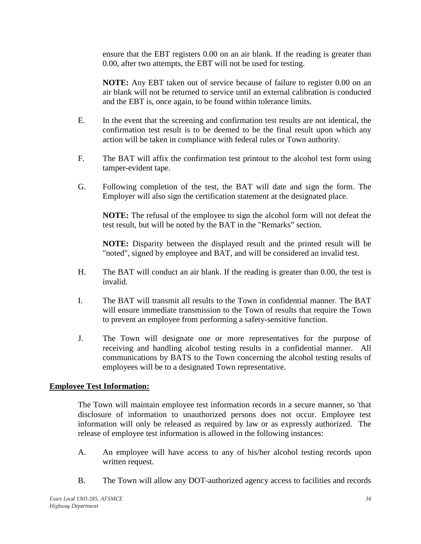ensure that the EBT registers 0.00 on an air blank. If the reading is greater than 0.00, after two attempts, the EBT will not be used for testing.

**NOTE:** Any EBT taken out of service because of failure to register 0.00 on an air blank will not be returned to service until an external calibration is conducted and the EBT is, once again, to be found within tolerance limits.

- E. In the event that the screening and confirmation test results are not identical, the confirmation test result is to be deemed to be the final result upon which any action will be taken in compliance with federal rules or Town authority.
- F. The BAT will affix the confirmation test printout to the alcohol test form using tamper-evident tape.
- G. Following completion of the test, the BAT will date and sign the form. The Employer will also sign the certification statement at the designated place.

**NOTE:** The refusal of the employee to sign the alcohol form will not defeat the test result, but will be noted by the BAT in the "Remarks" section.

**NOTE:** Disparity between the displayed result and the printed result will be "noted", signed by employee and BAT, and will be considered an invalid test.

- H. The BAT will conduct an air blank. If the reading is greater than 0.00, the test is invalid.
- I. The BAT will transmit all results to the Town in confidential manner. The BAT will ensure immediate transmission to the Town of results that require the Town to prevent an employee from performing a safety-sensitive function.
- J. The Town will designate one or more representatives for the purpose of receiving and handling alcohol testing results in a confidential manner. All communications by BATS to the Town concerning the alcohol testing results of employees will be to a designated Town representative.

# **Employee Test Information:**

The Town will maintain employee test information records in a secure manner, so 'that disclosure of information to unauthorized persons does not occur. Employee test information will only be released as required by law or as expressly authorized. The release of employee test information is allowed in the following instances:

- A. An employee will have access to any of his/her alcohol testing records upon written request.
- B. The Town will allow any DOT-authorized agency access to facilities and records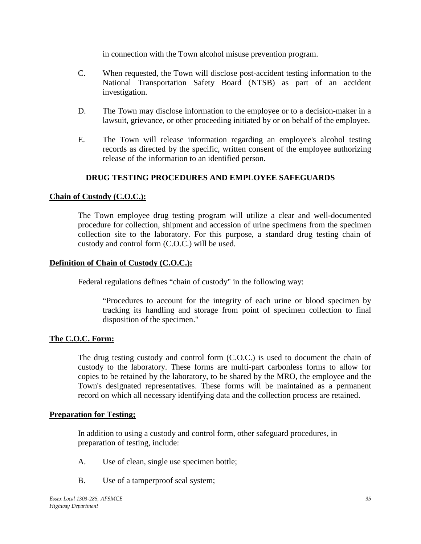in connection with the Town alcohol misuse prevention program.

- C. When requested, the Town will disclose post-accident testing information to the National Transportation Safety Board (NTSB) as part of an accident investigation.
- D. The Town may disclose information to the employee or to a decision-maker in a lawsuit, grievance, or other proceeding initiated by or on behalf of the employee.
- E. The Town will release information regarding an employee's alcohol testing records as directed by the specific, written consent of the employee authorizing release of the information to an identified person.

# **DRUG TESTING PROCEDURES AND EMPLOYEE SAFEGUARDS**

### **Chain of Custody (C.O.C.):**

The Town employee drug testing program will utilize a clear and well-documented procedure for collection, shipment and accession of urine specimens from the specimen collection site to the laboratory. For this purpose, a standard drug testing chain of custody and control form (C.O.C.) will be used.

### **Definition of Chain of Custody (C.O.C.):**

Federal regulations defines "chain of custody" in the following way:

"Procedures to account for the integrity of each urine or blood specimen by tracking its handling and storage from point of specimen collection to final disposition of the specimen."

# **The C.O.C. Form:**

The drug testing custody and control form (C.O.C.) is used to document the chain of custody to the laboratory. These forms are multi-part carbonless forms to allow for copies to be retained by the laboratory, to be shared by the MRO, the employee and the Town's designated representatives. These forms will be maintained as a permanent record on which all necessary identifying data and the collection process are retained.

### **Preparation for Testing;**

In addition to using a custody and control form, other safeguard procedures, in preparation of testing, include:

- A. Use of clean, single use specimen bottle;
- B. Use of a tamperproof seal system;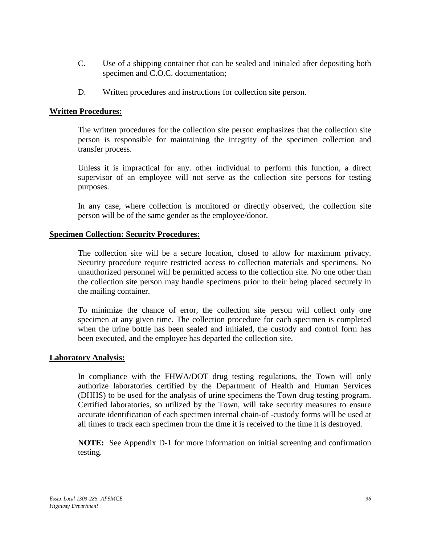- C. Use of a shipping container that can be sealed and initialed after depositing both specimen and C.O.C. documentation;
- D. Written procedures and instructions for collection site person.

### **Written Procedures:**

The written procedures for the collection site person emphasizes that the collection site person is responsible for maintaining the integrity of the specimen collection and transfer process.

Unless it is impractical for any. other individual to perform this function, a direct supervisor of an employee will not serve as the collection site persons for testing purposes.

In any case, where collection is monitored or directly observed, the collection site person will be of the same gender as the employee/donor.

### **Specimen Collection: Security Procedures:**

The collection site will be a secure location, closed to allow for maximum privacy. Security procedure require restricted access to collection materials and specimens. No unauthorized personnel will be permitted access to the collection site. No one other than the collection site person may handle specimens prior to their being placed securely in the mailing container.

To minimize the chance of error, the collection site person will collect only one specimen at any given time. The collection procedure for each specimen is completed when the urine bottle has been sealed and initialed, the custody and control form has been executed, and the employee has departed the collection site.

### **Laboratory Analysis:**

In compliance with the FHWA/DOT drug testing regulations, the Town will only authorize laboratories certified by the Department of Health and Human Services (DHHS) to be used for the analysis of urine specimens the Town drug testing program. Certified laboratories, so utilized by the Town, will take security measures to ensure accurate identification of each specimen internal chain-of -custody forms will be used at all times to track each specimen from the time it is received to the time it is destroyed.

**NOTE:** See Appendix D-1 for more information on initial screening and confirmation testing.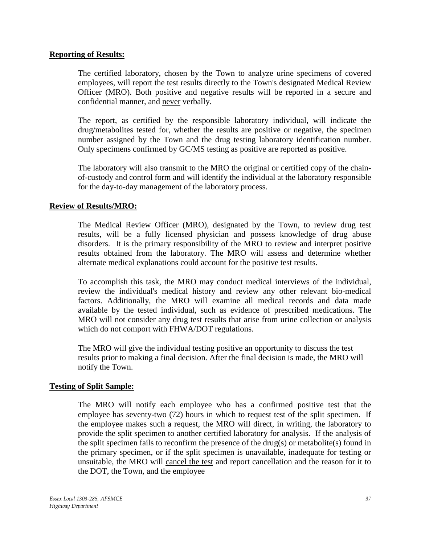### **Reporting of Results:**

The certified laboratory, chosen by the Town to analyze urine specimens of covered employees, will report the test results directly to the Town's designated Medical Review Officer (MRO). Both positive and negative results will be reported in a secure and confidential manner, and never verbally.

The report, as certified by the responsible laboratory individual, will indicate the drug/metabolites tested for, whether the results are positive or negative, the specimen number assigned by the Town and the drug testing laboratory identification number. Only specimens confirmed by GC/MS testing as positive are reported as positive.

The laboratory will also transmit to the MRO the original or certified copy of the chainof-custody and control form and will identify the individual at the laboratory responsible for the day-to-day management of the laboratory process.

### **Review of Results/MRO:**

The Medical Review Officer (MRO), designated by the Town, to review drug test results, will be a fully licensed physician and possess knowledge of drug abuse disorders. It is the primary responsibility of the MRO to review and interpret positive results obtained from the laboratory. The MRO will assess and determine whether alternate medical explanations could account for the positive test results.

To accomplish this task, the MRO may conduct medical interviews of the individual, review the individual's medical history and review any other relevant bio-medical factors. Additionally, the MRO will examine all medical records and data made available by the tested individual, such as evidence of prescribed medications. The MRO will not consider any drug test results that arise from urine collection or analysis which do not comport with FHWA/DOT regulations.

The MRO will give the individual testing positive an opportunity to discuss the test results prior to making a final decision. After the final decision is made, the MRO will notify the Town.

### **Testing of Split Sample:**

The MRO will notify each employee who has a confirmed positive test that the employee has seventy-two (72) hours in which to request test of the split specimen. If the employee makes such a request, the MRO will direct, in writing, the laboratory to provide the split specimen to another certified laboratory for analysis. If the analysis of the split specimen fails to reconfirm the presence of the drug(s) or metabolite(s) found in the primary specimen, or if the split specimen is unavailable, inadequate for testing or unsuitable, the MRO will cancel the test and report cancellation and the reason for it to the DOT, the Town, and the employee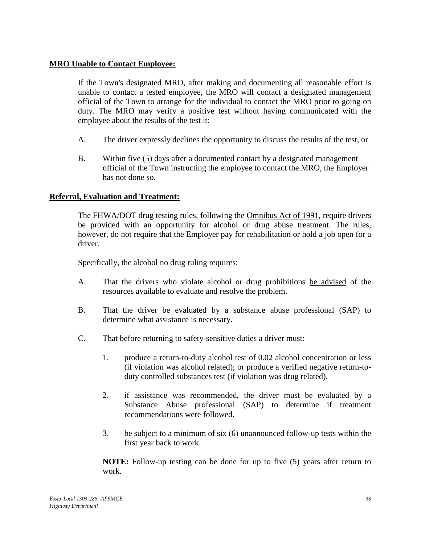### **MRO Unable to Contact Employee:**

If the Town's designated MRO, after making and documenting all reasonable effort is unable to contact a tested employee, the MRO will contact a designated management official of the Town to arrange for the individual to contact the MRO prior to going on duty. The MRO may verify a positive test without having communicated with the employee about the results of the test it:

- A. The driver expressly declines the opportunity to discuss the results of the test, or
- B. Within five (5) days after a documented contact by a designated management official of the Town instructing the employee to contact the MRO, the Employer has not done so.

### **Referral, Evaluation and Treatment:**

The FHWA/DOT drug testing rules, following the Omnibus Act of 1991, require drivers be provided with an opportunity for alcohol or drug abuse treatment. The rules, however, do not require that the Employer pay for rehabilitation or hold a job open for a driver.

Specifically, the alcohol no drug ruling requires:

- A. That the drivers who violate alcohol or drug prohibitions be advised of the resources available to evaluate and resolve the problem.
- B. That the driver be evaluated by a substance abuse professional (SAP) to determine what assistance is necessary.
- C. That before returning to safety-sensitive duties a driver must:
	- 1. produce a return-to-duty alcohol test of 0.02 alcohol concentration or less (if violation was alcohol related); or produce a verified negative return-toduty controlled substances test (if violation was drug related).
	- 2. if assistance was recommended, the driver must be evaluated by a Substance Abuse professional (SAP) to determine if treatment recommendations were followed.
	- 3. be subject to a minimum of six (6) unannounced follow-up tests within the first year back to work.

**NOTE:** Follow-up testing can be done for up to five (5) years after return to work.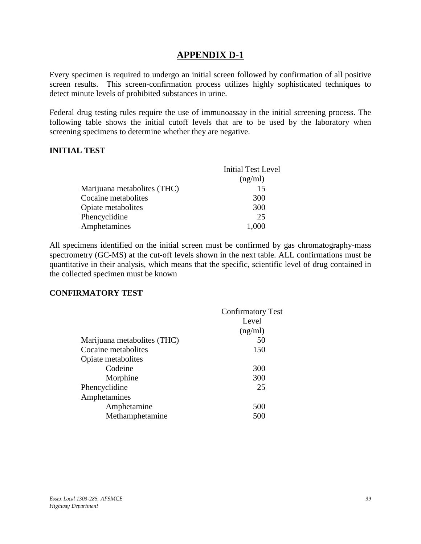# **APPENDIX D-1**

<span id="page-38-0"></span>Every specimen is required to undergo an initial screen followed by confirmation of all positive screen results. This screen-confirmation process utilizes highly sophisticated techniques to detect minute levels of prohibited substances in urine.

Federal drug testing rules require the use of immunoassay in the initial screening process. The following table shows the initial cutoff levels that are to be used by the laboratory when screening specimens to determine whether they are negative.

### **INITIAL TEST**

| <b>Initial Test Level</b> |
|---------------------------|
| (ng/ml)                   |
| 15                        |
| 300                       |
| 300                       |
| 25                        |
| 1,000                     |
|                           |

All specimens identified on the initial screen must be confirmed by gas chromatography-mass spectrometry (GC-MS) at the cut-off levels shown in the next table. ALL confirmations must be quantitative in their analysis, which means that the specific, scientific level of drug contained in the collected specimen must be known

### **CONFIRMATORY TEST**

| <b>Confirmatory Test</b> |
|--------------------------|
| Level                    |
| (ng/ml)                  |
| 50                       |
| 150                      |
|                          |
| 300                      |
| 300                      |
| 25                       |
|                          |
| 500                      |
| 500                      |
|                          |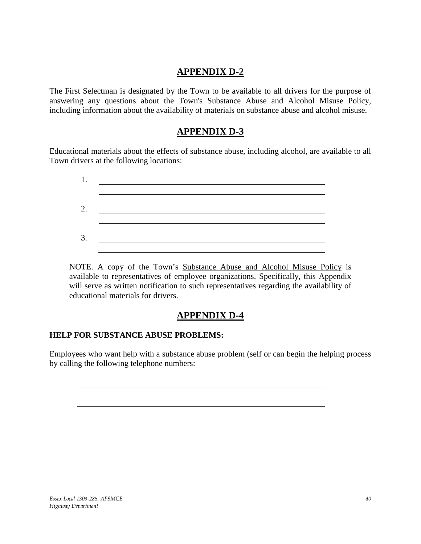# **APPENDIX D-2**

<span id="page-39-1"></span><span id="page-39-0"></span>The First Selectman is designated by the Town to be available to all drivers for the purpose of answering any questions about the Town's Substance Abuse and Alcohol Misuse Policy, including information about the availability of materials on substance abuse and alcohol misuse.

# **APPENDIX D-3**

Educational materials about the effects of substance abuse, including alcohol, are available to all Town drivers at the following locations:

| 1. |  |  |  |
|----|--|--|--|
| 2. |  |  |  |
| 3. |  |  |  |
|    |  |  |  |

NOTE. A copy of the Town's Substance Abuse and Alcohol Misuse Policy is available to representatives of employee organizations. Specifically, this Appendix will serve as written notification to such representatives regarding the availability of educational materials for drivers.

# **APPENDIX D-4**

# <span id="page-39-2"></span>**HELP FOR SUBSTANCE ABUSE PROBLEMS:**

<span id="page-39-3"></span>Employees who want help with a substance abuse problem (self or can begin the helping process by calling the following telephone numbers: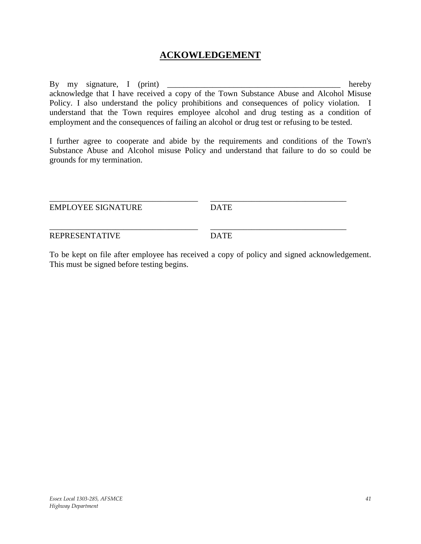# **ACKOWLEDGEMENT**

By my signature, I (print) hereby acknowledge that I have received a copy of the Town Substance Abuse and Alcohol Misuse Policy. I also understand the policy prohibitions and consequences of policy violation. I understand that the Town requires employee alcohol and drug testing as a condition of employment and the consequences of failing an alcohol or drug test or refusing to be tested.

I further agree to cooperate and abide by the requirements and conditions of the Town's Substance Abuse and Alcohol misuse Policy and understand that failure to do so could be grounds for my termination.

| <b>EMPLOYEE SIGNATURE</b> | <b>DATE</b> |  |
|---------------------------|-------------|--|
|                           |             |  |
|                           |             |  |

REPRESENTATIVE DATE

To be kept on file after employee has received a copy of policy and signed acknowledgement. This must be signed before testing begins.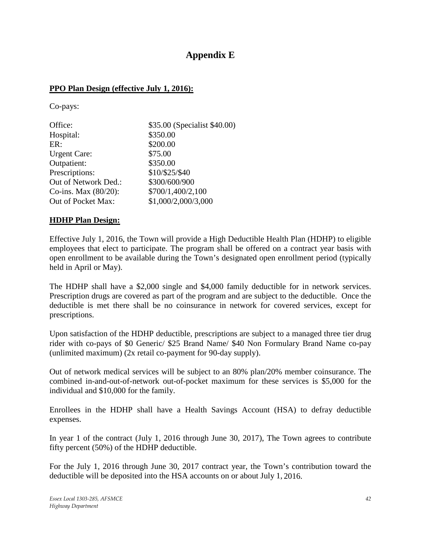# **Appendix E**

# **PPO Plan Design (effective July 1, 2016):**

Co-pays:

| Office:              | \$35.00 (Specialist \$40.00) |
|----------------------|------------------------------|
| Hospital:            | \$350.00                     |
| ER:                  | \$200.00                     |
| <b>Urgent Care:</b>  | \$75.00                      |
| Outpatient:          | \$350.00                     |
| Prescriptions:       | \$10/\$25/\$40               |
| Out of Network Ded.: | \$300/600/900                |
| Co-ins. Max (80/20): | \$700/1,400/2,100            |
| Out of Pocket Max:   | \$1,000/2,000/3,000          |

# **HDHP Plan Design:**

Effective July 1, 2016, the Town will provide a High Deductible Health Plan (HDHP) to eligible employees that elect to participate. The program shall be offered on a contract year basis with open enrollment to be available during the Town's designated open enrollment period (typically held in April or May).

The HDHP shall have a \$2,000 single and \$4,000 family deductible for in network services. Prescription drugs are covered as part of the program and are subject to the deductible. Once the deductible is met there shall be no coinsurance in network for covered services, except for prescriptions.

Upon satisfaction of the HDHP deductible, prescriptions are subject to a managed three tier drug rider with co-pays of \$0 Generic/ \$25 Brand Name/ \$40 Non Formulary Brand Name co-pay (unlimited maximum) (2x retail co-payment for 90-day supply).

Out of network medical services will be subject to an 80% plan/20% member coinsurance. The combined in-and-out-of-network out-of-pocket maximum for these services is \$5,000 for the individual and \$10,000 for the family.

Enrollees in the HDHP shall have a Health Savings Account (HSA) to defray deductible expenses.

In year 1 of the contract (July 1, 2016 through June 30, 2017), The Town agrees to contribute fifty percent (50%) of the HDHP deductible.

For the July 1, 2016 through June 30, 2017 contract year, the Town's contribution toward the deductible will be deposited into the HSA accounts on or about July 1, 2016.